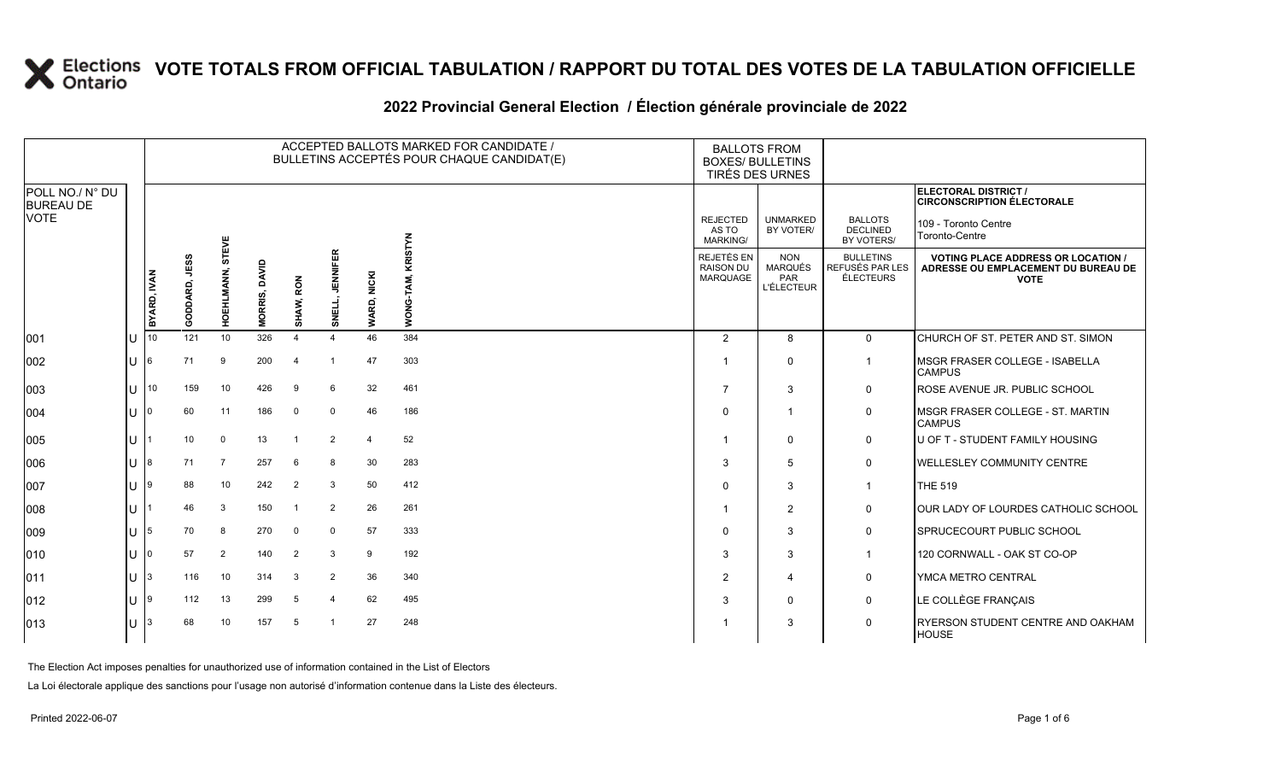#### **2022 Provincial General Election / Élection générale provinciale de 2022**

|                                     |                      |             |               |                        |                         |                                                        |                |                                            | ACCEPTED BALLOTS MARKED FOR CANDIDATE /<br>BULLETINS ACCEPTÉS POUR CHAQUE CANDIDAT(E) | <b>BALLOTS FROM</b><br><b>BOXES/ BULLETINS</b><br>TIRÉS DES URNES |                                                                                                 |                                                 |                                                                  |
|-------------------------------------|----------------------|-------------|---------------|------------------------|-------------------------|--------------------------------------------------------|----------------|--------------------------------------------|---------------------------------------------------------------------------------------|-------------------------------------------------------------------|-------------------------------------------------------------------------------------------------|-------------------------------------------------|------------------------------------------------------------------|
| POLL NO./ N° DU<br><b>BUREAU DE</b> |                      |             |               |                        |                         |                                                        |                |                                            |                                                                                       |                                                                   |                                                                                                 |                                                 | <b>ELECTORAL DISTRICT /</b><br><b>CIRCONSCRIPTION ÉLECTORALE</b> |
| <b>VOTE</b>                         |                      |             |               | EVE                    |                         |                                                        |                |                                            | ξ                                                                                     | <b>REJECTED</b><br>AS TO<br><b>MARKING/</b>                       | <b>UNMARKED</b><br>BY VOTER/                                                                    | <b>BALLOTS</b><br><b>DECLINED</b><br>BY VOTERS/ | 109 - Toronto Centre<br>Toronto-Centre                           |
|                                     |                      | BYARD, IVAN | GODDARD, JESS | 5<br><b>HOEHLMANN,</b> | DAVID<br><b>MORRIS,</b> | <b>ENNIFER</b><br>WARD, NICKI<br>RON<br>SHAW,<br>SNELL | <b>NOM</b>     | REJETÉS EN<br><b>RAISON DU</b><br>MARQUAGE | <b>NON</b><br>MARQUÉS<br>PAR<br><b>L'ÉLECTEUR</b>                                     | <b>BULLETINS</b><br>REFUSÉS PAR LES<br>ÉLECTEURS                  | <b>VOTING PLACE ADDRESS OR LOCATION /</b><br>ADRESSE OU EMPLACEMENT DU BUREAU DE<br><b>VOTE</b> |                                                 |                                                                  |
| 001                                 | U                    | 10          | 121           | 10                     | 326                     | 4                                                      |                | 46                                         | 384                                                                                   | 2                                                                 | 8                                                                                               | $\mathbf{0}$                                    | CHURCH OF ST. PETER AND ST. SIMON                                |
| 002                                 | $U$ 6                |             | 71            | 9                      | 200                     | $\overline{\bf{4}}$                                    | -1             | 47                                         | 303                                                                                   |                                                                   | $\Omega$                                                                                        | $\mathbf{1}$                                    | IMSGR FRASER COLLEGE - ISABELLA<br><b>CAMPUS</b>                 |
| 003                                 |                      | $U$ 10      | 159           | 10                     | 426                     | 9                                                      | 6              | 32                                         | 461                                                                                   | $\overline{7}$                                                    | 3                                                                                               | $\mathbf 0$                                     | ROSE AVENUE JR. PUBLIC SCHOOL                                    |
| 004                                 | 1110                 |             | 60            | 11                     | 186                     | $\Omega$                                               | $\mathbf 0$    | 46                                         | 186                                                                                   | $\Omega$                                                          |                                                                                                 | 0                                               | MSGR FRASER COLLEGE - ST. MARTIN<br><b>CAMPUS</b>                |
| 005                                 | $U^+$                |             | 10            | 0                      | 13                      |                                                        | $\overline{2}$ | $\overline{4}$                             | 52                                                                                    |                                                                   | 0                                                                                               | 0                                               | <b>IU OF T - STUDENT FAMILY HOUSING</b>                          |
| 006                                 | 11 <sup>8</sup>      |             | 71            | $\overline{7}$         | 257                     | 6                                                      | 8              | 30                                         | 283                                                                                   | -3                                                                | 5                                                                                               | 0                                               | <b>WELLESLEY COMMUNITY CENTRE</b>                                |
| 007                                 | <b>U</b> 9           |             | 88            | 10                     | 242                     | $\overline{2}$                                         | 3              | 50                                         | 412                                                                                   | $\Omega$                                                          | 3                                                                                               | $\mathbf{1}$                                    | <b>THE 519</b>                                                   |
| 008                                 | U                    |             | 46            | 3                      | 150                     |                                                        | $\overline{2}$ | 26                                         | 261                                                                                   |                                                                   | $\overline{2}$                                                                                  | 0                                               | OUR LADY OF LOURDES CATHOLIC SCHOOL                              |
| 009                                 | $\lfloor \rfloor$  5 |             | 70            | 8                      | 270                     | $\Omega$                                               | $\mathbf 0$    | 57                                         | 333                                                                                   | $\Omega$                                                          | 3                                                                                               | $\mathbf 0$                                     | SPRUCECOURT PUBLIC SCHOOL                                        |
| 010                                 | U                    | l0          | 57            | $\overline{2}$         | 140                     | $\overline{2}$                                         | 3              | 9                                          | 192                                                                                   | 3                                                                 | 3                                                                                               | $\mathbf{1}$                                    | 120 CORNWALL - OAK ST CO-OP                                      |
| 011                                 | 11 <sup>3</sup>      |             | 116           | 10                     | 314                     | 3                                                      | 2              | 36                                         | 340                                                                                   | $\overline{2}$                                                    | 4                                                                                               | 0                                               | YMCA METRO CENTRAL                                               |
| 012                                 | $U$  9               |             | 112           | 13                     | 299                     | 5                                                      | $\overline{a}$ | 62                                         | 495                                                                                   | 3                                                                 | $\Omega$                                                                                        | $\mathbf 0$                                     | LE COLLÈGE FRANÇAIS                                              |
| 013                                 | U                    |             | 68            | 10                     | 157                     | 5                                                      |                | 27                                         | 248                                                                                   |                                                                   | 3                                                                                               | 0                                               | RYERSON STUDENT CENTRE AND OAKHAM<br><b>HOUSE</b>                |

The Election Act imposes penalties for unauthorized use of information contained in the List of Electors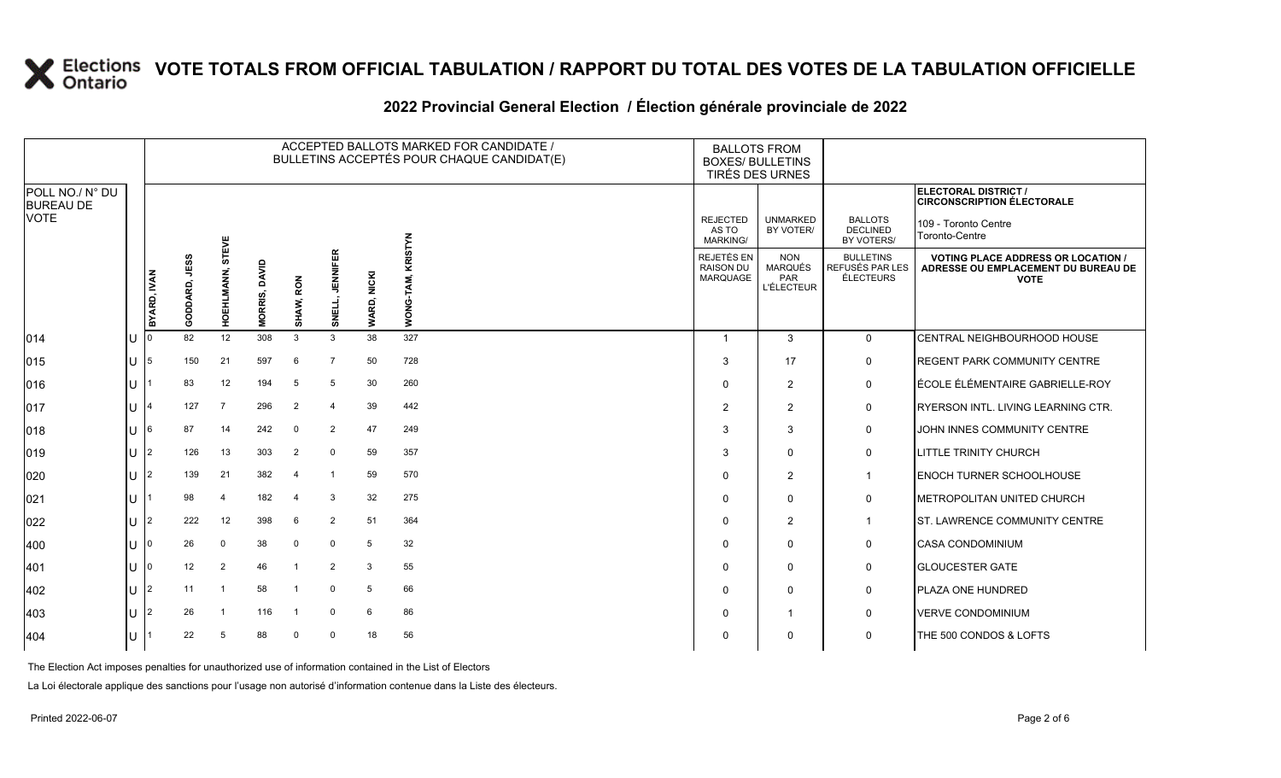#### **2022 Provincial General Election / Élection générale provinciale de 2022**

|                                     |             |                         |                            |                                |           |                           |                     |       | ACCEPTED BALLOTS MARKED FOR CANDIDATE /<br>BULLETINS ACCEPTÉS POUR CHAQUE CANDIDAT(E) | <b>BALLOTS FROM</b><br><b>BOXES/ BULLETINS</b><br>TIRÉS DES URNES |                                                  |                                                                                                 |                                                           |
|-------------------------------------|-------------|-------------------------|----------------------------|--------------------------------|-----------|---------------------------|---------------------|-------|---------------------------------------------------------------------------------------|-------------------------------------------------------------------|--------------------------------------------------|-------------------------------------------------------------------------------------------------|-----------------------------------------------------------|
| POLL NO./ N° DU<br><b>BUREAU DE</b> |             |                         |                            |                                |           |                           |                     |       |                                                                                       |                                                                   |                                                  |                                                                                                 | ELECTORAL DISTRICT /<br><b>CIRCONSCRIPTION ÉLECTORALE</b> |
| <b>VOTE</b>                         |             |                         |                            |                                |           |                           |                     |       | ξ                                                                                     | <b>REJECTED</b><br>AS TO<br>MARKING/                              | <b>UNMARKED</b><br>BY VOTER/                     | <b>BALLOTS</b><br><b>DECLINED</b><br>BY VOTERS/                                                 | 109 - Toronto Centre<br>Toronto-Centre                    |
|                                     | BYARD, IVAN | <b>JESS</b><br>GODDARD, | <b>STEVE</b><br>HOEHLMANN, | <b>ONVID</b><br><b>MORRIS,</b> | SHAW, RON | <b>JENNIFER</b><br>SNELL, | WARD, NICKI         | WONG- | <b>REJETÉS EN</b><br><b>RAISON DU</b><br>MARQUAGE                                     | <b>NON</b><br><b>MARQUÉS</b><br>PAR<br><b>L'ÉLECTEUR</b>          | <b>BULLETINS</b><br>REFUSÉS PAR LES<br>ÉLECTEURS | <b>VOTING PLACE ADDRESS OR LOCATION /</b><br>ADRESSE OU EMPLACEMENT DU BUREAU DE<br><b>VOTE</b> |                                                           |
| 014                                 | U           |                         | 82                         | 12                             | 308       | 3                         | 3                   | 38    | 327                                                                                   |                                                                   | 3                                                | $\mathbf{0}$                                                                                    | CENTRAL NEIGHBOURHOOD HOUSE                               |
| 015                                 | IU.         | 5                       | 150                        | 21                             | 597       | 6                         | $\overline{7}$      | 50    | 728                                                                                   | 3                                                                 | 17                                               | 0                                                                                               | <b>IREGENT PARK COMMUNITY CENTRE</b>                      |
| 016                                 | ΙU          |                         | 83                         | 12                             | 194       | -5                        | 5                   | 30    | 260                                                                                   | $\Omega$                                                          | $\overline{2}$                                   | $\mathsf{O}$                                                                                    | ÉCOLE ÉLÉMENTAIRE GABRIELLE-ROY                           |
| 017                                 | ΠT          | 4                       | 127                        | $\overline{7}$                 | 296       | $\overline{2}$            | $\overline{\bf{4}}$ | 39    | 442                                                                                   | $\overline{2}$                                                    | 2                                                | 0                                                                                               | <b>RYERSON INTL. LIVING LEARNING CTR.</b>                 |
| 018                                 | lU          | 6                       | 87                         | 14                             | 242       | $\overline{0}$            | $\overline{2}$      | 47    | 249                                                                                   | 3                                                                 | 3                                                | 0                                                                                               | JOHN INNES COMMUNITY CENTRE                               |
| 019                                 | lu-         | $\overline{2}$          | 126                        | 13                             | 303       | $\overline{2}$            | $\mathbf 0$         | 59    | 357                                                                                   | 3                                                                 | $\mathbf 0$                                      | $\mathbf 0$                                                                                     | <b>ILITTLE TRINITY CHURCH</b>                             |
| 020                                 | ΙU          | $\overline{2}$          | 139                        | 21                             | 382       | $\overline{\mathcal{A}}$  | $\overline{1}$      | 59    | 570                                                                                   | $\Omega$                                                          | $\overline{2}$                                   | $\overline{1}$                                                                                  | <b>ENOCH TURNER SCHOOLHOUSE</b>                           |
| 021                                 | lu          |                         | 98                         | $\overline{4}$                 | 182       | $\overline{4}$            | 3                   | 32    | 275                                                                                   | $\Omega$                                                          | $\mathbf{0}$                                     | 0                                                                                               | <b>IMETROPOLITAN UNITED CHURCH</b>                        |
| 022                                 | ΙU          | $\overline{2}$          | 222                        | 12                             | 398       | 6                         | $\overline{2}$      | 51    | 364                                                                                   | $\Omega$                                                          | 2                                                | $\overline{1}$                                                                                  | <b>IST. LAWRENCE COMMUNITY CENTRE</b>                     |
| 400                                 | lU          | U                       | 26                         | $\mathbf 0$                    | 38        | $\mathbf 0$               | $\Omega$            | 5     | 32                                                                                    | $\Omega$                                                          | 0                                                | $\mathbf 0$                                                                                     | <b>CASA CONDOMINIUM</b>                                   |
| 401                                 | lU          |                         | 12                         | $\overline{2}$                 | 46        | $\overline{\mathbf{1}}$   | $\overline{2}$      | 3     | 55                                                                                    | $\Omega$                                                          | $\mathbf 0$                                      | 0                                                                                               | <b>GLOUCESTER GATE</b>                                    |
| 402                                 | lu-         | $\overline{2}$          | 11                         |                                | 58        |                           | $\Omega$            | 5     | 66                                                                                    | $\Omega$                                                          | $\mathbf 0$                                      | 0                                                                                               | <b>PLAZA ONE HUNDRED</b>                                  |
| 403                                 | ΙU          | $\overline{2}$          | 26                         | $\overline{1}$                 | 116       |                           | $\mathbf 0$         | 6     | 86                                                                                    | $\Omega$                                                          | $\overline{\mathbf{1}}$                          | 0                                                                                               | <b>VERVE CONDOMINIUM</b>                                  |
| 404                                 | lu          |                         | 22                         | 5                              | 88        | $\Omega$                  | $\Omega$            | 18    | 56                                                                                    | $\Omega$                                                          | $\mathbf{0}$                                     | $\mathbf 0$                                                                                     | THE 500 CONDOS & LOFTS                                    |

The Election Act imposes penalties for unauthorized use of information contained in the List of Electors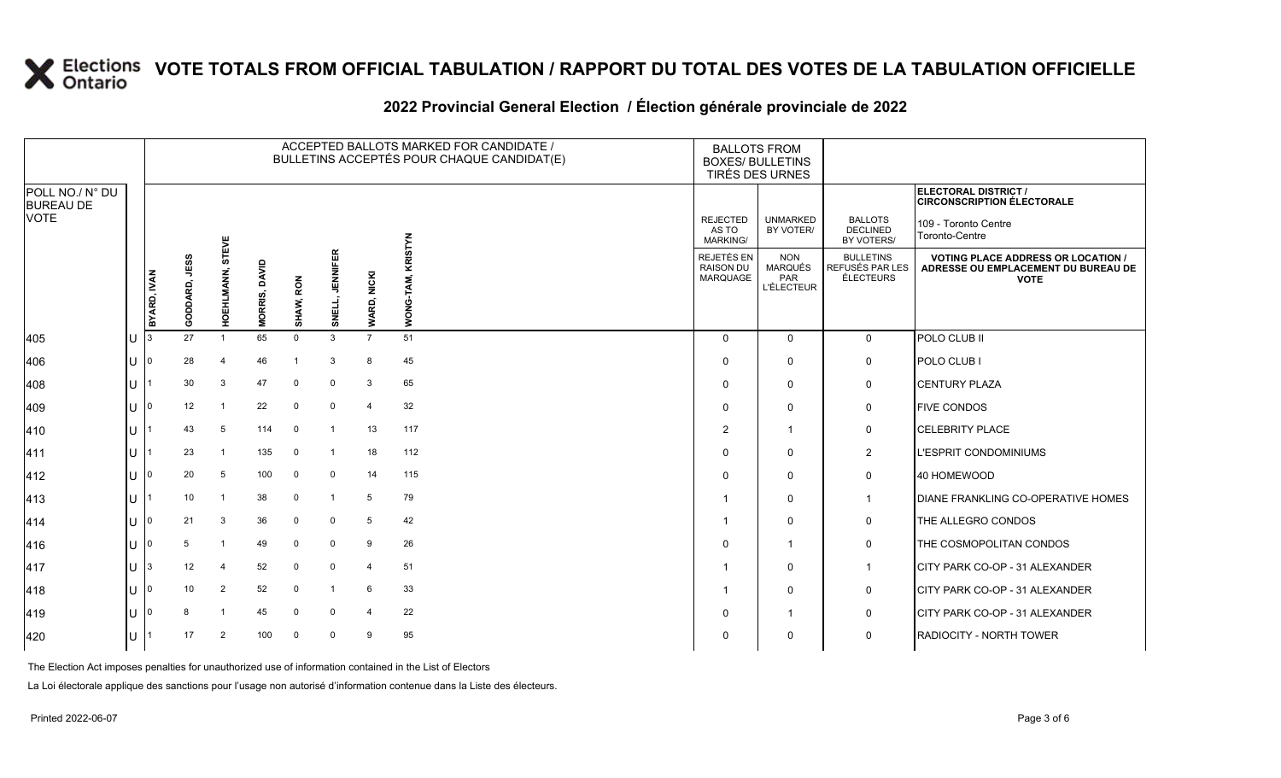#### **2022 Provincial General Election / Élection générale provinciale de 2022**

|                                     |                    |               |                            |                          |           |                           |                |                | ACCEPTED BALLOTS MARKED FOR CANDIDATE /<br>BULLETINS ACCEPTÉS POUR CHAQUE CANDIDAT(E) | <b>BALLOTS FROM</b><br><b>BOXES/ BULLETINS</b>           | TIRÉS DES URNES                                  |                                                                                                 |                                                           |
|-------------------------------------|--------------------|---------------|----------------------------|--------------------------|-----------|---------------------------|----------------|----------------|---------------------------------------------------------------------------------------|----------------------------------------------------------|--------------------------------------------------|-------------------------------------------------------------------------------------------------|-----------------------------------------------------------|
| POLL NO./ N° DU<br><b>BUREAU DE</b> |                    |               |                            |                          |           |                           |                |                |                                                                                       |                                                          |                                                  |                                                                                                 | ELECTORAL DISTRICT /<br><b>CIRCONSCRIPTION ÉLECTORALE</b> |
| <b>VOTE</b>                         |                    |               |                            |                          |           |                           |                |                | <b>STYN</b>                                                                           | <b>REJECTED</b><br>AS TO<br>MARKING/                     | <b>UNMARKED</b><br>BY VOTER/                     | <b>BALLOTS</b><br><b>DECLINED</b><br>BY VOTERS/                                                 | 109 - Toronto Centre<br>Toronto-Centre                    |
|                                     | <b>BYARD, IVAN</b> | GODDARD, JESS | <b>STEVE</b><br>HOEHLMANN, | <b>MORRIS, DAVID</b>     | SHAW, RON | <b>JENNIFER</b><br>SNELL, | WARD, NICKI    | WONG-          | REJETÉS EN<br><b>RAISON DU</b><br>MARQUAGE                                            | <b>NON</b><br><b>MARQUÉS</b><br>PAR<br><b>L'ÉLECTEUR</b> | <b>BULLETINS</b><br>REFUSÉS PAR LES<br>ÉLECTEURS | <b>VOTING PLACE ADDRESS OR LOCATION /</b><br>ADRESSE OU EMPLACEMENT DU BUREAU DE<br><b>VOTE</b> |                                                           |
| 405                                 | IU                 |               | 27                         |                          | 65        | $\Omega$                  | 3              | $\overline{7}$ | 51                                                                                    | $\Omega$                                                 | $\Omega$                                         | $\mathbf{0}$                                                                                    | POLO CLUB II                                              |
| 406                                 | lU                 | 0             | 28                         | $\overline{4}$           | 46        |                           | 3              | 8              | 45                                                                                    | $\Omega$                                                 | $\mathbf 0$                                      | 0                                                                                               | POLO CLUB I                                               |
| 408                                 | ΙU                 |               | 30                         | 3                        | 47        | $\mathbf 0$               | $\mathbf 0$    | 3              | 65                                                                                    | $\Omega$                                                 | $\mathbf 0$                                      | $\mathsf{O}$                                                                                    | <b>CENTURY PLAZA</b>                                      |
| 409                                 | lθ                 | $\Omega$      | 12                         | $\overline{\phantom{0}}$ | 22        | $\Omega$                  | $\mathbf 0$    | $\overline{4}$ | 32                                                                                    | $\Omega$                                                 | $\Omega$                                         | 0                                                                                               | <b>FIVE CONDOS</b>                                        |
| 410                                 | ΙU                 |               | 43                         | 5                        | 114       | $\overline{0}$            |                | 13             | 117                                                                                   | $\overline{2}$                                           | $\overline{1}$                                   | 0                                                                                               | <b>CELEBRITY PLACE</b>                                    |
| 411                                 | ΙU                 |               | 23                         |                          | 135       | 0                         | -1             | 18             | 112                                                                                   | $\Omega$                                                 | $\mathbf 0$                                      | $\overline{2}$                                                                                  | <b>L'ESPRIT CONDOMINIUMS</b>                              |
| 412                                 | lu-                | $\Omega$      | 20                         | 5                        | 100       | $\overline{0}$            | $^{\circ}$     | 14             | 115                                                                                   | $\Omega$                                                 | 0                                                | 0                                                                                               | 40 HOMEWOOD                                               |
| $ 413\rangle$                       | ΙU                 |               | 10                         | $\overline{1}$           | 38        | $\mathbf 0$               | $\overline{1}$ | 5              | 79                                                                                    |                                                          | $\mathbf 0$                                      | $\overline{1}$                                                                                  | <b>DIANE FRANKLING CO-OPERATIVE HOMES</b>                 |
| 414                                 | lu                 | $\mathbf 0$   | 21                         | 3                        | 36        | $\mathbf 0$               | $\mathbf 0$    | 5              | 42                                                                                    |                                                          | $\Omega$                                         | $\mathsf{O}$                                                                                    | THE ALLEGRO CONDOS                                        |
| 416                                 | ΙU                 | 0             | 5                          | $\overline{1}$           | 49        | $\mathbf 0$               | $\mathbf 0$    | 9              | 26                                                                                    | $\Omega$                                                 | $\overline{1}$                                   | 0                                                                                               | THE COSMOPOLITAN CONDOS                                   |
| 417                                 | lu                 | 3             | 12                         | 4                        | 52        | $\mathbf 0$               | $\Omega$       | $\overline{4}$ | 51                                                                                    |                                                          | $\mathbf 0$                                      | $\mathbf 1$                                                                                     | <b>ICITY PARK CO-OP - 31 ALEXANDER</b>                    |
| 418                                 | lu                 | $\Omega$      | 10                         | $\overline{2}$           | 52        | $\mathbf 0$               |                | 6              | 33                                                                                    |                                                          | $\mathbf 0$                                      | 0                                                                                               | <b>CITY PARK CO-OP - 31 ALEXANDER</b>                     |
| 419                                 | lU                 |               | 8                          |                          | 45        | $\Omega$                  | $\mathbf 0$    | $\overline{4}$ | 22                                                                                    | $\Omega$                                                 | $\overline{1}$                                   | 0                                                                                               | CITY PARK CO-OP - 31 ALEXANDER                            |
| 420                                 | lu                 |               | 17                         | $\overline{2}$           | 100       | $\Omega$                  | $\mathbf 0$    | 9              | 95                                                                                    | $\Omega$                                                 | $\mathbf 0$                                      | $\mathbf 0$                                                                                     | <b>RADIOCITY - NORTH TOWER</b>                            |

The Election Act imposes penalties for unauthorized use of information contained in the List of Electors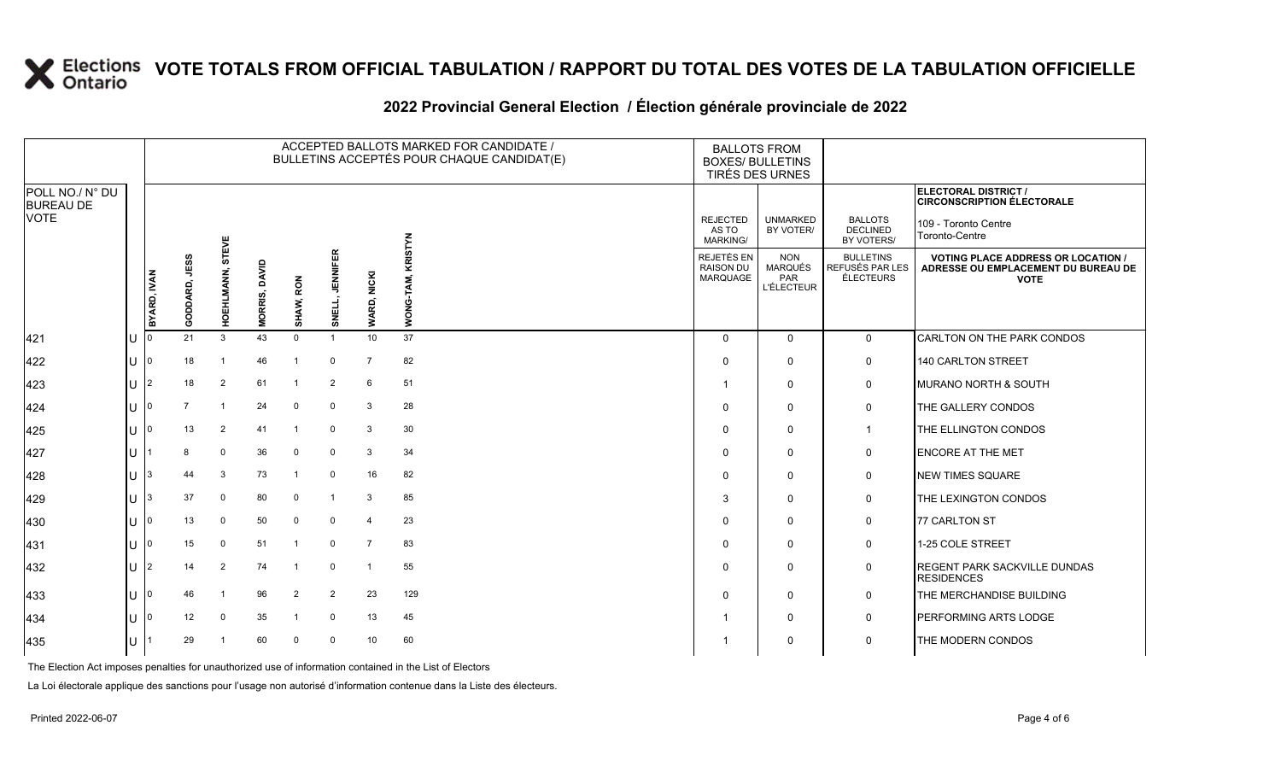#### **2022 Provincial General Election / Élection générale provinciale de 2022**

|                                     |    | ACCEPTED BALLOTS MARKED FOR CANDIDATE /<br>BULLETINS ACCEPTÉS POUR CHAQUE CANDIDAT(E) |                |                  |                      |                |                          |                |             |  | <b>BALLOTS FROM</b>                               | <b>BOXES/ BULLETINS</b><br>TIRÉS DES URNES               |                                                  |                                                                                                 |
|-------------------------------------|----|---------------------------------------------------------------------------------------|----------------|------------------|----------------------|----------------|--------------------------|----------------|-------------|--|---------------------------------------------------|----------------------------------------------------------|--------------------------------------------------|-------------------------------------------------------------------------------------------------|
| POLL NO./ N° DU<br><b>BUREAU DE</b> |    |                                                                                       |                |                  |                      |                |                          |                |             |  |                                                   |                                                          |                                                  | ELECTORAL DISTRICT /<br><b>CIRCONSCRIPTION ÉLECTORALE</b>                                       |
| <b>VOTE</b>                         |    |                                                                                       |                |                  |                      |                |                          |                | <b>STYN</b> |  | <b>REJECTED</b><br>AS TO<br><b>MARKING/</b>       | <b>UNMARKED</b><br>BY VOTER/                             | <b>BALLOTS</b><br><b>DECLINED</b><br>BY VOTERS/  | 109 - Toronto Centre<br>Toronto-Centre                                                          |
|                                     |    | BYARD, IVAN                                                                           | GODDARD, JESS  | HOEHLMANN, STEVE | <b>MORRIS, DAVID</b> | SHAW, RON      | <b>JENNIFER</b><br>SNELI | WARD, NICKI    | <b>NOW</b>  |  | REJETÉS EN<br><b>RAISON DU</b><br><b>MARQUAGE</b> | <b>NON</b><br>MARQUÉS<br><b>PAR</b><br><b>L'ÉLECTEUR</b> | <b>BULLETINS</b><br>REFUSÉS PAR LES<br>ÉLECTEURS | <b>VOTING PLACE ADDRESS OR LOCATION /</b><br>ADRESSE OU EMPLACEMENT DU BUREAU DE<br><b>VOTE</b> |
| 421                                 | lu |                                                                                       | 21             | 3                | 43                   | $\mathbf 0$    | $\overline{1}$           | 10             | 37          |  | $\Omega$                                          | $\mathbf{0}$                                             | $\mathbf 0$                                      | CARLTON ON THE PARK CONDOS                                                                      |
| 422                                 | lu |                                                                                       | 18             |                  | 46                   | $\overline{1}$ | $\mathbf 0$              | $\overline{7}$ | 82          |  | $\Omega$                                          | 0                                                        | 0                                                | 140 CARLTON STREET                                                                              |
| 423                                 | lu |                                                                                       | 18             | $\overline{2}$   | 61                   | $\overline{1}$ | 2                        | 6              | 51          |  |                                                   | 0                                                        | 0                                                | <b>MURANO NORTH &amp; SOUTH</b>                                                                 |
| 424                                 | lu |                                                                                       | $\overline{7}$ |                  | 24                   | $\Omega$       | $\mathbf 0$              | 3              | 28          |  | $\Omega$                                          | 0                                                        | 0                                                | THE GALLERY CONDOS                                                                              |
| 425                                 | lυ |                                                                                       | 13             | $\overline{2}$   | 41                   | -1             | $\mathbf 0$              | 3              | 30          |  | $\Omega$                                          | $\mathbf{0}$                                             | -1                                               | THE ELLINGTON CONDOS                                                                            |
| 427                                 | IΠ |                                                                                       | 8              | $\mathbf 0$      | 36                   | $\mathbf 0$    | $\mathbf 0$              | 3              | 34          |  | $\Omega$                                          | $\Omega$                                                 | 0                                                | <b>ENCORE AT THE MET</b>                                                                        |
| 428                                 | lu |                                                                                       | 44             | 3                | 73                   | -1             | $\mathbf 0$              | 16             | 82          |  | 0                                                 | 0                                                        | 0                                                | <b>NEW TIMES SQUARE</b>                                                                         |
| 429                                 | lu |                                                                                       | 37             | 0                | 80                   | $\Omega$       | $\overline{1}$           | 3              | 85          |  | 3                                                 | $\Omega$                                                 | 0                                                | THE LEXINGTON CONDOS                                                                            |
| 430                                 | IΠ |                                                                                       | 13             | 0                | 50                   | $\Omega$       | $\mathbf 0$              | $\overline{4}$ | 23          |  | $\Omega$                                          | 0                                                        | 0                                                | 77 CARLTON ST                                                                                   |
| 431                                 | lu |                                                                                       | 15             | $\mathbf 0$      | 51                   | $\overline{1}$ | $\mathbf 0$              | $\overline{7}$ | 83          |  | 0                                                 | $\Omega$                                                 | 0                                                | 1-25 COLE STREET                                                                                |
| 432                                 | lυ |                                                                                       | 14             | $\overline{2}$   | 74                   | -1             | $\mathbf 0$              | $\overline{1}$ | 55          |  | $\Omega$                                          | $\Omega$                                                 | 0                                                | <b>REGENT PARK SACKVILLE DUNDAS</b><br><b>RESIDENCES</b>                                        |
| 433                                 | lu |                                                                                       | 46             |                  | 96                   | $\overline{2}$ | $\overline{2}$           | 23             | 129         |  | $\Omega$                                          | 0                                                        | 0                                                | THE MERCHANDISE BUILDING                                                                        |
| 434                                 | IП |                                                                                       | 12             | $\Omega$         | 35                   | $\mathbf{1}$   | $\mathbf 0$              | 13             | 45          |  |                                                   | 0                                                        | 0                                                | <b>PERFORMING ARTS LODGE</b>                                                                    |
| 435                                 | lu |                                                                                       | 29             |                  | 60                   | $\Omega$       | $\mathbf 0$              | 10             | 60          |  |                                                   | 0                                                        | 0                                                | THE MODERN CONDOS                                                                               |

The Election Act imposes penalties for unauthorized use of information contained in the List of Electors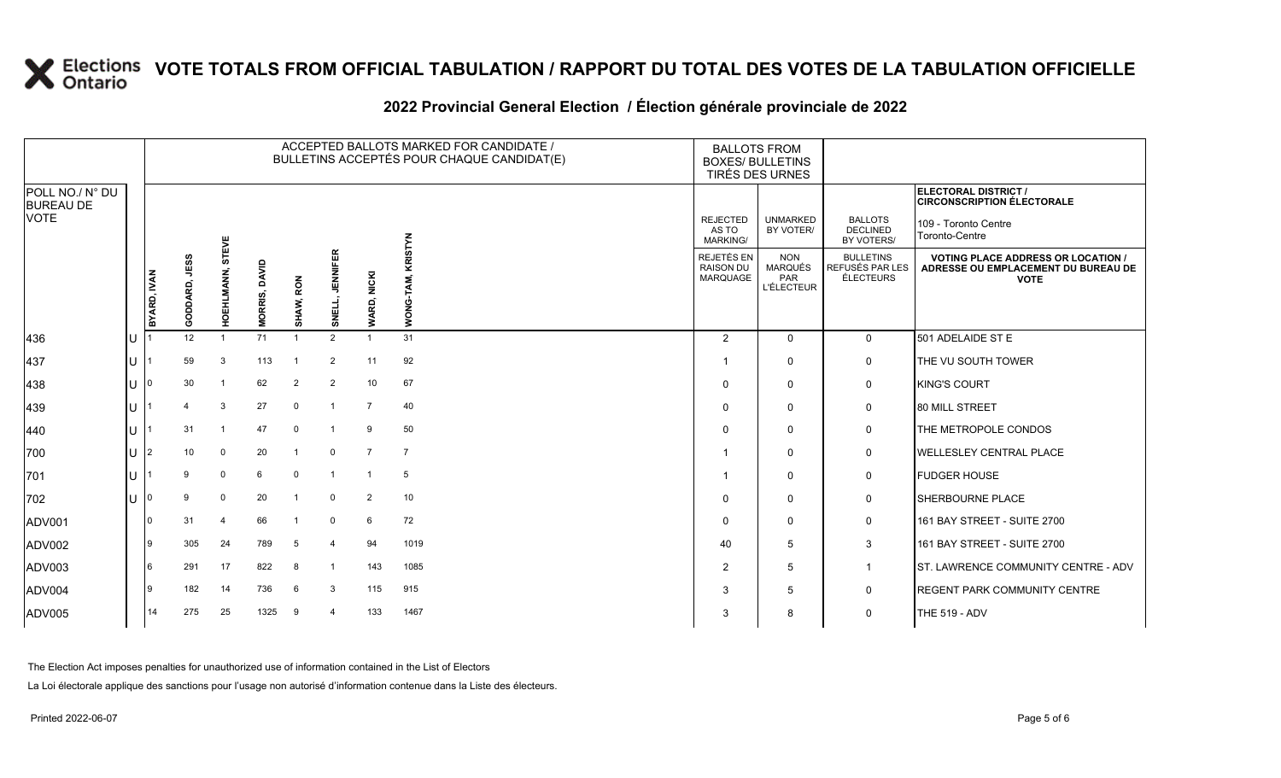#### **2022 Provincial General Election / Élection générale provinciale de 2022**

|                                     |     |                |               |                |                         |                |                           |                 | ACCEPTED BALLOTS MARKED FOR CANDIDATE /<br>BULLETINS ACCEPTÉS POUR CHAQUE CANDIDAT(E) | <b>BALLOTS FROM</b><br><b>BOXES/ BULLETINS</b><br><b>TIRÉS DES URNES</b> |                                                                 |                                                  |                                                                                                 |
|-------------------------------------|-----|----------------|---------------|----------------|-------------------------|----------------|---------------------------|-----------------|---------------------------------------------------------------------------------------|--------------------------------------------------------------------------|-----------------------------------------------------------------|--------------------------------------------------|-------------------------------------------------------------------------------------------------|
| POLL NO./ N° DU<br><b>BUREAU DE</b> |     |                |               |                |                         |                |                           |                 |                                                                                       |                                                                          |                                                                 |                                                  | ELECTORAL DISTRICT /<br><b>CIRCONSCRIPTION ÉLECTORALE</b>                                       |
| <b>VOTE</b>                         |     |                |               | EVE            |                         |                |                           |                 | <b>STYN</b>                                                                           | <b>REJECTED</b><br>AS TO<br><b>MARKING/</b>                              | <b>UNMARKED</b><br>BY VOTER/                                    | <b>BALLOTS</b><br><b>DECLINED</b><br>BY VOTERS/  | 109 - Toronto Centre<br>Toronto-Centre                                                          |
|                                     |     | BYARD, IVAN    | GODDARD, JESS | HOEHLMANN, ST  | <b>OAVID</b><br>MORRIS, | SHAW, RON      | <b>JENNIFER</b><br>SNELL, | WARD, NICKI     | <b>NOW</b>                                                                            | REJETÉS EN<br><b>RAISON DU</b><br><b>MARQUAGE</b>                        | <b>NON</b><br><b>MARQUÉS</b><br><b>PAR</b><br><b>L'ÉLECTEUR</b> | <b>BULLETINS</b><br>REFUSÉS PAR LES<br>ÉLECTEURS | <b>VOTING PLACE ADDRESS OR LOCATION /</b><br>ADRESSE OU EMPLACEMENT DU BUREAU DE<br><b>VOTE</b> |
| 436                                 | lU  |                | 12            | $\overline{1}$ | 71                      | $\overline{1}$ | 2                         | $\mathbf{1}$    | 31                                                                                    | 2                                                                        | $\Omega$                                                        | $\mathbf{0}$                                     | 501 ADELAIDE ST E                                                                               |
| 437                                 | IU. |                | 59            | 3              | 113                     | $\mathbf 1$    | $\overline{2}$            | 11              | 92                                                                                    |                                                                          | $\Omega$                                                        | $\mathsf{O}$                                     | THE VU SOUTH TOWER                                                                              |
| 438                                 | IП  |                | 30            | $\overline{1}$ | 62                      | $\overline{2}$ | $\overline{2}$            | 10 <sup>°</sup> | 67                                                                                    | $\Omega$                                                                 | $\Omega$                                                        | 0                                                | <b>KING'S COURT</b>                                                                             |
| 439                                 | lθ  |                |               | 3              | 27                      | $\mathbf 0$    | -1                        | $\overline{7}$  | 40                                                                                    | $\mathbf 0$                                                              | 0                                                               | 0                                                | <b>80 MILL STREET</b>                                                                           |
| $ 440\rangle$                       | lθ  |                | 31            | $\overline{1}$ | 47                      | $\overline{0}$ |                           | 9               | 50                                                                                    | $\Omega$                                                                 | $\Omega$                                                        | 0                                                | THE METROPOLE CONDOS                                                                            |
| 700                                 | lu- | $\overline{2}$ | 10            | $\mathbf 0$    | 20                      | $\overline{1}$ | $\mathbf 0$               | $\overline{7}$  | $\overline{7}$                                                                        |                                                                          | $\Omega$                                                        | 0                                                | <b>WELLESLEY CENTRAL PLACE</b>                                                                  |
| 701                                 | IП  |                | 9             | $\mathbf 0$    | 6                       | $\mathbf 0$    |                           | $\overline{1}$  | 5                                                                                     |                                                                          | $\Omega$                                                        | $\mathbf 0$                                      | <b>FUDGER HOUSE</b>                                                                             |
| 702                                 | lu  |                | 9             | $\mathbf 0$    | 20                      | -1             | $\mathbf 0$               | $\overline{2}$  | 10                                                                                    | $\mathbf 0$                                                              | $\Omega$                                                        | 0                                                | <b>SHERBOURNE PLACE</b>                                                                         |
| ADV001                              |     | <sup>0</sup>   | 31            | $\overline{4}$ | 66                      | -1             | $\mathbf 0$               | 6               | 72                                                                                    | $\Omega$                                                                 | $\Omega$                                                        | 0                                                | 161 BAY STREET - SUITE 2700                                                                     |
| ADV002                              |     | و ا            | 305           | 24             | 789                     | 5              | $\overline{4}$            | 94              | 1019                                                                                  | 40                                                                       | 5                                                               | $\mathbf{3}$                                     | 161 BAY STREET - SUITE 2700                                                                     |
| ADV003                              |     | 6              | 291           | 17             | 822                     | 8              | $\overline{1}$            | 143             | 1085                                                                                  | $\overline{2}$                                                           | 5                                                               | $\mathbf 1$                                      | ST. LAWRENCE COMMUNITY CENTRE - ADV                                                             |
| ADV004                              |     | ۱g             | 182           | 14             | 736                     | 6              | 3                         | 115             | 915                                                                                   | 3                                                                        | 5                                                               | 0                                                | REGENT PARK COMMUNITY CENTRE                                                                    |
| ADV005                              |     | 14             | 275           | 25             | 1325                    | 9              | $\overline{\bf{4}}$       | 133             | 1467                                                                                  | 3                                                                        | 8                                                               | $\mathbf 0$                                      | <b>THE 519 - ADV</b>                                                                            |

The Election Act imposes penalties for unauthorized use of information contained in the List of Electors